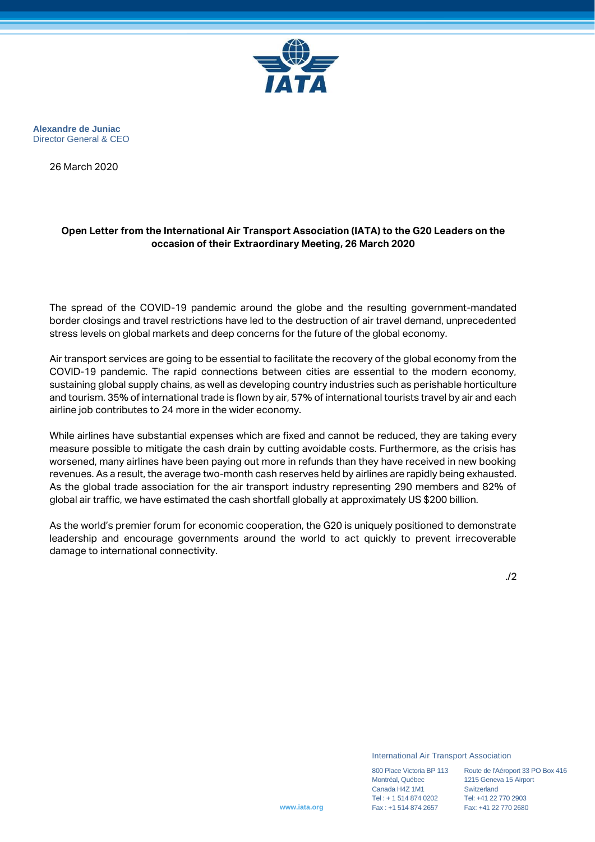

**Alexandre de Juniac** Director General & CEO

26 March 2020

## **Open Letter from the International Air Transport Association (IATA) to the G20 Leaders on the occasion of their Extraordinary Meeting, 26 March 2020**

The spread of the COVID-19 pandemic around the globe and the resulting government-mandated border closings and travel restrictions have led to the destruction of air travel demand, unprecedented stress levels on global markets and deep concerns for the future of the global economy.

Air transport services are going to be essential to facilitate the recovery of the global economy from the COVID-19 pandemic. The rapid connections between cities are essential to the modern economy, sustaining global supply chains, as well as developing country industries such as perishable horticulture and tourism. 35% of international trade is flown by air, 57% of international tourists travel by air and each airline job contributes to 24 more in the wider economy.

While airlines have substantial expenses which are fixed and cannot be reduced, they are taking every measure possible to mitigate the cash drain by cutting avoidable costs. Furthermore, as the crisis has worsened, many airlines have been paying out more in refunds than they have received in new booking revenues. As a result, the average two-month cash reserves held by airlines are rapidly being exhausted. As the global trade association for the air transport industry representing 290 members and 82% of global air traffic, we have estimated the cash shortfall globally at approximately US \$200 billion.

As the world's premier forum for economic cooperation, the G20 is uniquely positioned to demonstrate leadership and encourage governments around the world to act quickly to prevent irrecoverable damage to international connectivity.

./2

International Air Transport Association

**www.iata.org**